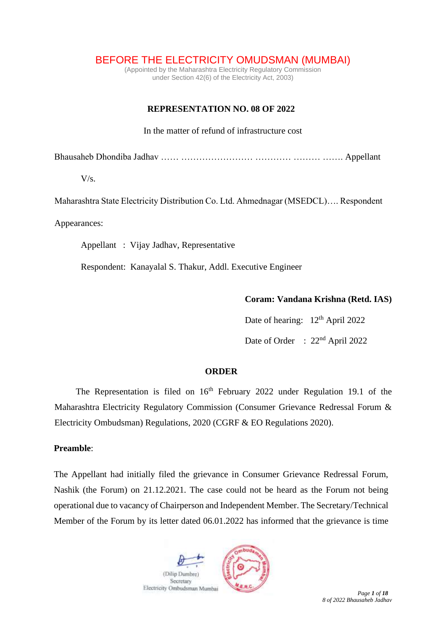BEFORE THE ELECTRICITY OMUDSMAN (MUMBAI)

(Appointed by the Maharashtra Electricity Regulatory Commission under Section 42(6) of the Electricity Act, 2003)

# **REPRESENTATION NO. 08 OF 2022**

In the matter of refund of infrastructure cost

Bhausaheb Dhondiba Jadhav …… …………………… ………… ……… ……. Appellant

 $V/s$ .

Maharashtra State Electricity Distribution Co. Ltd. Ahmednagar (MSEDCL)…. Respondent

Appearances:

Appellant : Vijay Jadhav, Representative

Respondent: Kanayalal S. Thakur, Addl. Executive Engineer

**Coram: Vandana Krishna (Retd. IAS)**

Date of hearing: 12<sup>th</sup> April 2022 Date of Order : 22<sup>nd</sup> April 2022

### **ORDER**

The Representation is filed on  $16<sup>th</sup>$  February 2022 under Regulation 19.1 of the Maharashtra Electricity Regulatory Commission (Consumer Grievance Redressal Forum & Electricity Ombudsman) Regulations, 2020 (CGRF & EO Regulations 2020).

## **Preamble**:

The Appellant had initially filed the grievance in Consumer Grievance Redressal Forum, Nashik (the Forum) on 21.12.2021. The case could not be heard as the Forum not being operational due to vacancy of Chairperson and Independent Member. The Secretary/Technical Member of the Forum by its letter dated 06.01.2022 has informed that the grievance is time

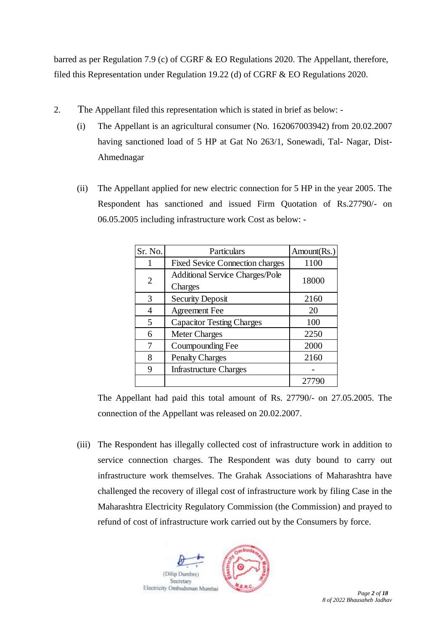barred as per Regulation 7.9 (c) of CGRF & EO Regulations 2020. The Appellant, therefore, filed this Representation under Regulation 19.22 (d) of CGRF & EO Regulations 2020.

- 2. The Appellant filed this representation which is stated in brief as below:
	- (i) The Appellant is an agricultural consumer (No. 162067003942) from 20.02.2007 having sanctioned load of 5 HP at Gat No 263/1, Sonewadi, Tal- Nagar, Dist-Ahmednagar
	- (ii) The Appellant applied for new electric connection for 5 HP in the year 2005. The Respondent has sanctioned and issued Firm Quotation of Rs.27790/- on 06.05.2005 including infrastructure work Cost as below: -

| Sr. No. | Particulars                                       | Amount(Rs.) |
|---------|---------------------------------------------------|-------------|
|         | <b>Fixed Sevice Connection charges</b>            | 1100        |
| 2       | <b>Additional Service Charges/Pole</b><br>Charges | 18000       |
| 3       | <b>Security Deposit</b>                           | 2160        |
|         | <b>Agreement Fee</b>                              | 20          |
| 5       | <b>Capacitor Testing Charges</b>                  | 100         |
| 6       | <b>Meter Charges</b>                              | 2250        |
|         | Coumpounding Fee                                  | 2000        |
| 8       | <b>Penalty Charges</b>                            | 2160        |
| 9       | <b>Infrastructure Charges</b>                     |             |
|         |                                                   | 277         |

The Appellant had paid this total amount of Rs. 27790/- on 27.05.2005. The connection of the Appellant was released on 20.02.2007.

(iii) The Respondent has illegally collected cost of infrastructure work in addition to service connection charges. The Respondent was duty bound to carry out infrastructure work themselves. The Grahak Associations of Maharashtra have challenged the recovery of illegal cost of infrastructure work by filing Case in the Maharashtra Electricity Regulatory Commission (the Commission) and prayed to refund of cost of infrastructure work carried out by the Consumers by force.

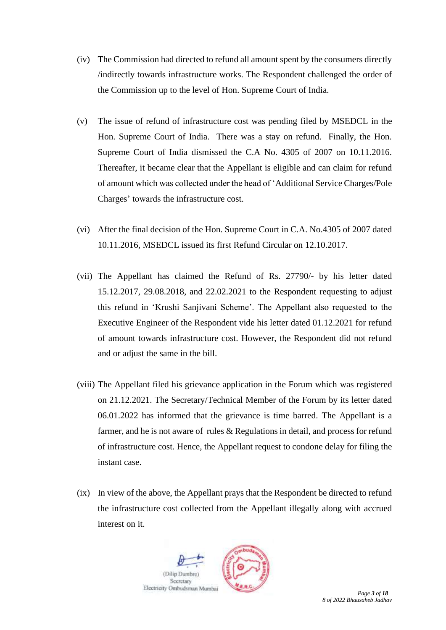- (iv) The Commission had directed to refund all amount spent by the consumers directly /indirectly towards infrastructure works. The Respondent challenged the order of the Commission up to the level of Hon. Supreme Court of India.
- (v) The issue of refund of infrastructure cost was pending filed by MSEDCL in the Hon. Supreme Court of India. There was a stay on refund. Finally, the Hon. Supreme Court of India dismissed the C.A No. 4305 of 2007 on 10.11.2016. Thereafter, it became clear that the Appellant is eligible and can claim for refund of amount which was collected under the head of 'Additional Service Charges/Pole Charges' towards the infrastructure cost.
- (vi) After the final decision of the Hon. Supreme Court in C.A. No.4305 of 2007 dated 10.11.2016, MSEDCL issued its first Refund Circular on 12.10.2017.
- (vii) The Appellant has claimed the Refund of Rs. 27790/- by his letter dated 15.12.2017, 29.08.2018, and 22.02.2021 to the Respondent requesting to adjust this refund in 'Krushi Sanjivani Scheme'. The Appellant also requested to the Executive Engineer of the Respondent vide his letter dated 01.12.2021 for refund of amount towards infrastructure cost. However, the Respondent did not refund and or adjust the same in the bill.
- (viii) The Appellant filed his grievance application in the Forum which was registered on 21.12.2021. The Secretary/Technical Member of the Forum by its letter dated 06.01.2022 has informed that the grievance is time barred. The Appellant is a farmer, and he is not aware of rules & Regulations in detail, and process for refund of infrastructure cost. Hence, the Appellant request to condone delay for filing the instant case.
- (ix) In view of the above, the Appellant prays that the Respondent be directed to refund the infrastructure cost collected from the Appellant illegally along with accrued interest on it.



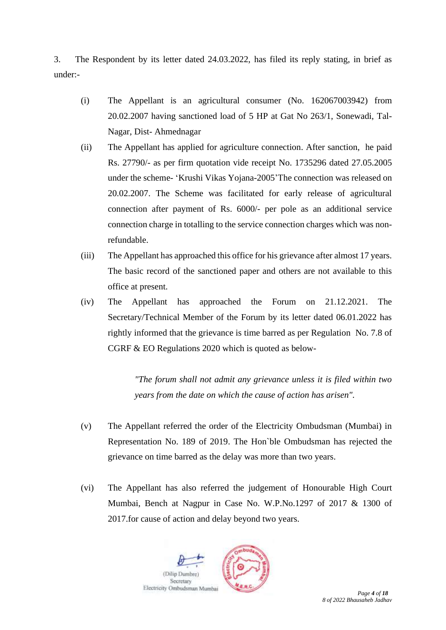3. The Respondent by its letter dated 24.03.2022, has filed its reply stating, in brief as under:-

- (i) The Appellant is an agricultural consumer (No. 162067003942) from 20.02.2007 having sanctioned load of 5 HP at Gat No 263/1, Sonewadi, Tal-Nagar, Dist- Ahmednagar
- (ii) The Appellant has applied for agriculture connection. After sanction, he paid Rs. 27790/- as per firm quotation vide receipt No. 1735296 dated 27.05.2005 under the scheme- 'Krushi Vikas Yojana-2005'The connection was released on 20.02.2007. The Scheme was facilitated for early release of agricultural connection after payment of Rs. 6000/- per pole as an additional service connection charge in totalling to the service connection charges which was nonrefundable.
- (iii) The Appellant has approached this office for his grievance after almost 17 years. The basic record of the sanctioned paper and others are not available to this office at present.
- (iv) The Appellant has approached the Forum on 21.12.2021. The Secretary/Technical Member of the Forum by its letter dated 06.01.2022 has rightly informed that the grievance is time barred as per Regulation No. 7.8 of CGRF & EO Regulations 2020 which is quoted as below-

*"The forum shall not admit any grievance unless it is filed within two years from the date on which the cause of action has arisen".* 

- (v) The Appellant referred the order of the Electricity Ombudsman (Mumbai) in Representation No. 189 of 2019. The Hon`ble Ombudsman has rejected the grievance on time barred as the delay was more than two years.
- (vi) The Appellant has also referred the judgement of Honourable High Court Mumbai, Bench at Nagpur in Case No. W.P.No.1297 of 2017 & 1300 of 2017.for cause of action and delay beyond two years.

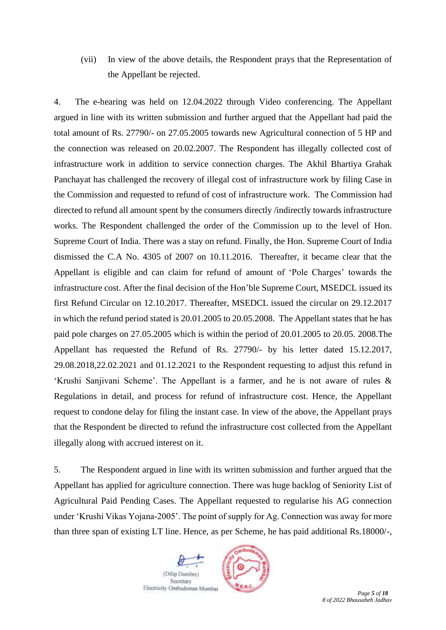(vii) In view of the above details, the Respondent prays that the Representation of the Appellant be rejected.

4. The e-hearing was held on 12.04.2022 through Video conferencing. The Appellant argued in line with its written submission and further argued that the Appellant had paid the total amount of Rs. 27790/- on 27.05.2005 towards new Agricultural connection of 5 HP and the connection was released on 20.02.2007. The Respondent has illegally collected cost of infrastructure work in addition to service connection charges. The Akhil Bhartiya Grahak Panchayat has challenged the recovery of illegal cost of infrastructure work by filing Case in the Commission and requested to refund of cost of infrastructure work. The Commission had directed to refund all amount spent by the consumers directly /indirectly towards infrastructure works. The Respondent challenged the order of the Commission up to the level of Hon. Supreme Court of India. There was a stay on refund. Finally, the Hon. Supreme Court of India dismissed the C.A No. 4305 of 2007 on 10.11.2016. Thereafter, it became clear that the Appellant is eligible and can claim for refund of amount of 'Pole Charges' towards the infrastructure cost. After the final decision of the Hon'ble Supreme Court, MSEDCL issued its first Refund Circular on 12.10.2017. Thereafter, MSEDCL issued the circular on 29.12.2017 in which the refund period stated is 20.01.2005 to 20.05.2008. The Appellant states that he has paid pole charges on 27.05.2005 which is within the period of 20.01.2005 to 20.05. 2008.The Appellant has requested the Refund of Rs. 27790/- by his letter dated 15.12.2017, 29.08.2018,22.02.2021 and 01.12.2021 to the Respondent requesting to adjust this refund in 'Krushi Sanjivani Scheme'. The Appellant is a farmer, and he is not aware of rules & Regulations in detail, and process for refund of infrastructure cost. Hence, the Appellant request to condone delay for filing the instant case. In view of the above, the Appellant prays that the Respondent be directed to refund the infrastructure cost collected from the Appellant illegally along with accrued interest on it.

5. The Respondent argued in line with its written submission and further argued that the Appellant has applied for agriculture connection. There was huge backlog of Seniority List of Agricultural Paid Pending Cases. The Appellant requested to regularise his AG connection under 'Krushi Vikas Yojana-2005'. The point of supply for Ag. Connection was away for more than three span of existing LT line. Hence, as per Scheme, he has paid additional Rs.18000/-,

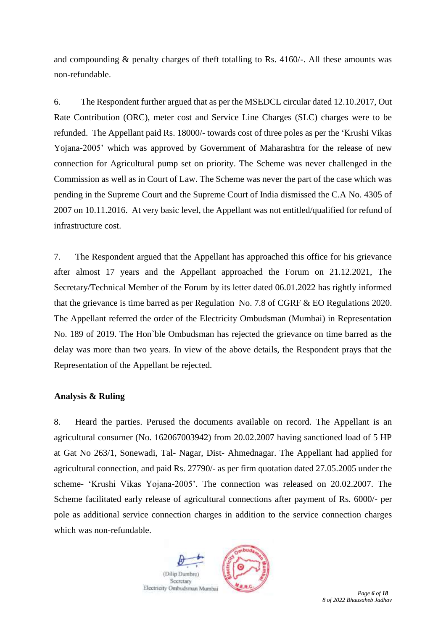and compounding & penalty charges of theft totalling to Rs. 4160/-. All these amounts was non-refundable.

6. The Respondent further argued that as per the MSEDCL circular dated 12.10.2017, Out Rate Contribution (ORC), meter cost and Service Line Charges (SLC) charges were to be refunded. The Appellant paid Rs. 18000/- towards cost of three poles as per the 'Krushi Vikas Yojana-2005' which was approved by Government of Maharashtra for the release of new connection for Agricultural pump set on priority. The Scheme was never challenged in the Commission as well as in Court of Law. The Scheme was never the part of the case which was pending in the Supreme Court and the Supreme Court of India dismissed the C.A No. 4305 of 2007 on 10.11.2016. At very basic level, the Appellant was not entitled/qualified for refund of infrastructure cost.

7. The Respondent argued that the Appellant has approached this office for his grievance after almost 17 years and the Appellant approached the Forum on 21.12.2021, The Secretary/Technical Member of the Forum by its letter dated 06.01.2022 has rightly informed that the grievance is time barred as per Regulation No. 7.8 of CGRF & EO Regulations 2020. The Appellant referred the order of the Electricity Ombudsman (Mumbai) in Representation No. 189 of 2019. The Hon`ble Ombudsman has rejected the grievance on time barred as the delay was more than two years. In view of the above details, the Respondent prays that the Representation of the Appellant be rejected.

# **Analysis & Ruling**

8. Heard the parties. Perused the documents available on record. The Appellant is an agricultural consumer (No. 162067003942) from 20.02.2007 having sanctioned load of 5 HP at Gat No 263/1, Sonewadi, Tal- Nagar, Dist- Ahmednagar. The Appellant had applied for agricultural connection, and paid Rs. 27790/- as per firm quotation dated 27.05.2005 under the scheme- 'Krushi Vikas Yojana-2005'. The connection was released on 20.02.2007. The Scheme facilitated early release of agricultural connections after payment of Rs. 6000/- per pole as additional service connection charges in addition to the service connection charges which was non-refundable.

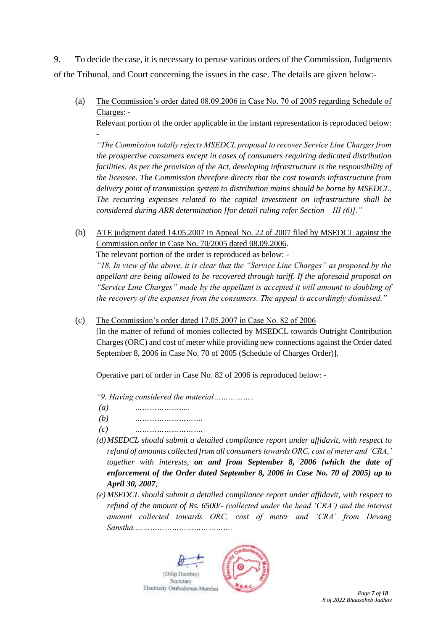9. To decide the case, it is necessary to peruse various orders of the Commission, Judgments of the Tribunal, and Court concerning the issues in the case. The details are given below:-

(a) The Commission's order dated 08.09.2006 in Case No. 70 of 2005 regarding Schedule of Charges: -

Relevant portion of the order applicable in the instant representation is reproduced below: -

*"The Commission totally rejects MSEDCL proposal to recover Service Line Charges from the prospective consumers except in cases of consumers requiring dedicated distribution facilities. As per the provision of the Act, developing infrastructure is the responsibility of the licensee. The Commission therefore directs that the cost towards infrastructure from delivery point of transmission system to distribution mains should be borne by MSEDCL. The recurring expenses related to the capital investment on infrastructure shall be considered during ARR determination [for detail ruling refer Section – III (6)]."*

(b) ATE judgment dated 14.05.2007 in Appeal No. 22 of 2007 filed by MSEDCL against the Commission order in Case No. 70/2005 dated 08.09.2006.

The relevant portion of the order is reproduced as below: -

*"18. In view of the above, it is clear that the "Service Line Charges" as proposed by the appellant are being allowed to be recovered through tariff. If the aforesaid proposal on "Service Line Charges" made by the appellant is accepted it will amount to doubling of the recovery of the expenses from the consumers. The appeal is accordingly dismissed."*

(c) The Commission's order dated 17.05.2007 in Case No. 82 of 2006

[In the matter of refund of monies collected by MSEDCL towards Outright Contribution Charges (ORC) and cost of meter while providing new connections against the Order dated September 8, 2006 in Case No. 70 of 2005 (Schedule of Charges Order)].

Operative part of order in Case No. 82 of 2006 is reproduced below: -

*"9. Having considered the material……………..*

- *(a) …………………..*
- *(b) ……………………….*
- *(c) ……………………….*
- *(d)MSEDCL should submit a detailed compliance report under affidavit, with respect to refund of amounts collected from all consumers towards ORC, cost of meter and 'CRA,' together with interests, on and from September 8, 2006 (which the date of enforcement of the Order dated September 8, 2006 in Case No. 70 of 2005) up to April 30, 2007;*
- *(e) MSEDCL should submit a detailed compliance report under affidavit, with respect to refund of the amount of Rs. 6500/- (collected under the head 'CRA') and the interest amount collected towards ORC, cost of meter and 'CRA' from Devang Sanstha.………………………………….*

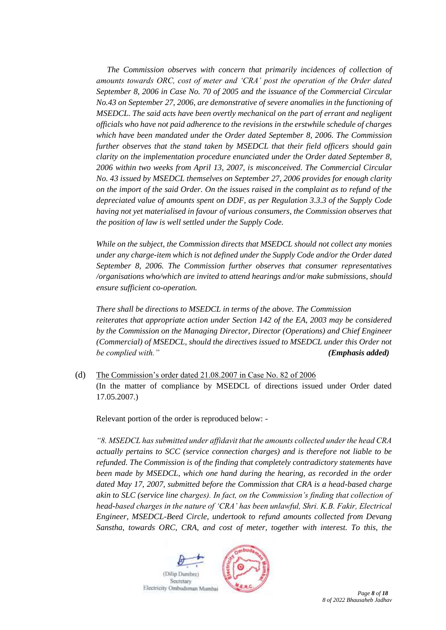*The Commission observes with concern that primarily incidences of collection of amounts towards ORC, cost of meter and 'CRA' post the operation of the Order dated September 8, 2006 in Case No. 70 of 2005 and the issuance of the Commercial Circular No.43 on September 27, 2006, are demonstrative of severe anomalies in the functioning of MSEDCL. The said acts have been overtly mechanical on the part of errant and negligent officials who have not paid adherence to the revisions in the erstwhile schedule of charges which have been mandated under the Order dated September 8, 2006. The Commission further observes that the stand taken by MSEDCL that their field officers should gain clarity on the implementation procedure enunciated under the Order dated September 8, 2006 within two weeks from April 13, 2007, is misconceived. The Commercial Circular No. 43 issued by MSEDCL themselves on September 27, 2006 provides for enough clarity on the import of the said Order. On the issues raised in the complaint as to refund of the depreciated value of amounts spent on DDF, as per Regulation 3.3.3 of the Supply Code having not yet materialised in favour of various consumers, the Commission observes that the position of law is well settled under the Supply Code.*

*While on the subject, the Commission directs that MSEDCL should not collect any monies under any charge-item which is not defined under the Supply Code and/or the Order dated September 8, 2006. The Commission further observes that consumer representatives /organisations who/which are invited to attend hearings and/or make submissions, should ensure sufficient co-operation.*

*There shall be directions to MSEDCL in terms of the above. The Commission reiterates that appropriate action under Section 142 of the EA, 2003 may be considered by the Commission on the Managing Director, Director (Operations) and Chief Engineer (Commercial) of MSEDCL, should the directives issued to MSEDCL under this Order not be complied with." (Emphasis added)*

(d) The Commission's order dated 21.08.2007 in Case No. 82 of 2006 (In the matter of compliance by MSEDCL of directions issued under Order dated 17.05.2007.)

Relevant portion of the order is reproduced below: -

*"8. MSEDCL has submitted under affidavit that the amounts collected under the head CRA actually pertains to SCC (service connection charges) and is therefore not liable to be refunded. The Commission is of the finding that completely contradictory statements have been made by MSEDCL, which one hand during the hearing, as recorded in the order dated May 17, 2007, submitted before the Commission that CRA is a head-based charge akin to SLC (service line charges). In fact, on the Commission's finding that collection of head-based charges in the nature of 'CRA' has been unlawful, Shri. K.B. Fakir, Electrical Engineer, MSEDCL-Beed Circle, undertook to refund amounts collected from Devang Sanstha, towards ORC, CRA, and cost of meter, together with interest. To this, the* 

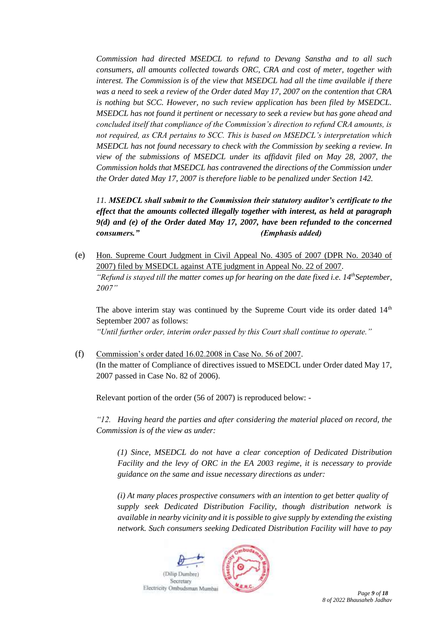*Commission had directed MSEDCL to refund to Devang Sanstha and to all such consumers, all amounts collected towards ORC, CRA and cost of meter, together with interest. The Commission is of the view that MSEDCL had all the time available if there was a need to seek a review of the Order dated May 17, 2007 on the contention that CRA is nothing but SCC. However, no such review application has been filed by MSEDCL. MSEDCL has not found it pertinent or necessary to seek a review but has gone ahead and concluded itself that compliance of the Commission's direction to refund CRA amounts, is not required, as CRA pertains to SCC. This is based on MSEDCL's interpretation which MSEDCL has not found necessary to check with the Commission by seeking a review. In view of the submissions of MSEDCL under its affidavit filed on May 28, 2007, the Commission holds that MSEDCL has contravened the directions of the Commission under the Order dated May 17, 2007 is therefore liable to be penalized under Section 142.*

*11. MSEDCL shall submit to the Commission their statutory auditor's certificate to the effect that the amounts collected illegally together with interest, as held at paragraph 9(d) and (e) of the Order dated May 17, 2007, have been refunded to the concerned consumers." (Emphasis added)*

(e) Hon. Supreme Court Judgment in Civil Appeal No. 4305 of 2007 (DPR No. 20340 of 2007) filed by MSEDCL against ATE judgment in Appeal No. 22 of 2007. *"Refund is stayed till the matter comes up for hearing on the date fixed i.e. 14thSeptember, 2007"*

The above interim stay was continued by the Supreme Court vide its order dated  $14<sup>th</sup>$ September 2007 as follows: *"Until further order, interim order passed by this Court shall continue to operate."*

(f) Commission's order dated 16.02.2008 in Case No. 56 of 2007. (In the matter of Compliance of directives issued to MSEDCL under Order dated May 17, 2007 passed in Case No. 82 of 2006).

Relevant portion of the order (56 of 2007) is reproduced below: -

*"12. Having heard the parties and after considering the material placed on record, the Commission is of the view as under:*

*(1) Since, MSEDCL do not have a clear conception of Dedicated Distribution Facility and the levy of ORC in the EA 2003 regime, it is necessary to provide guidance on the same and issue necessary directions as under:*

*(i) At many places prospective consumers with an intention to get better quality of supply seek Dedicated Distribution Facility, though distribution network is available in nearby vicinity and it is possible to give supply by extending the existing network. Such consumers seeking Dedicated Distribution Facility will have to pay* 

(Dilip Dumbre) Secretary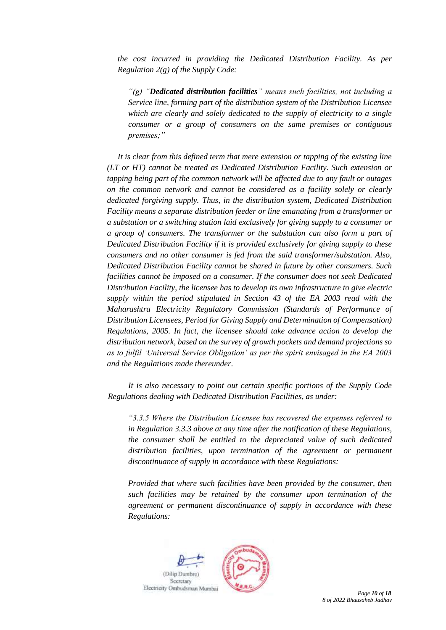*the cost incurred in providing the Dedicated Distribution Facility. As per Regulation 2(g) of the Supply Code:*

*"(g) "Dedicated distribution facilities" means such facilities, not including a Service line, forming part of the distribution system of the Distribution Licensee which are clearly and solely dedicated to the supply of electricity to a single consumer or a group of consumers on the same premises or contiguous premises;"*

*It is clear from this defined term that mere extension or tapping of the existing line (LT or HT) cannot be treated as Dedicated Distribution Facility. Such extension or tapping being part of the common network will be affected due to any fault or outages on the common network and cannot be considered as a facility solely or clearly dedicated forgiving supply. Thus, in the distribution system, Dedicated Distribution Facility means a separate distribution feeder or line emanating from a transformer or a substation or a switching station laid exclusively for giving supply to a consumer or a group of consumers. The transformer or the substation can also form a part of Dedicated Distribution Facility if it is provided exclusively for giving supply to these consumers and no other consumer is fed from the said transformer/substation. Also, Dedicated Distribution Facility cannot be shared in future by other consumers. Such facilities cannot be imposed on a consumer. If the consumer does not seek Dedicated Distribution Facility, the licensee has to develop its own infrastructure to give electric supply within the period stipulated in Section 43 of the EA 2003 read with the Maharashtra Electricity Regulatory Commission (Standards of Performance of Distribution Licensees, Period for Giving Supply and Determination of Compensation) Regulations, 2005. In fact, the licensee should take advance action to develop the distribution network, based on the survey of growth pockets and demand projections so as to fulfil 'Universal Service Obligation' as per the spirit envisaged in the EA 2003 and the Regulations made thereunder.*

*It is also necessary to point out certain specific portions of the Supply Code Regulations dealing with Dedicated Distribution Facilities, as under:*

*"3.3.5 Where the Distribution Licensee has recovered the expenses referred to in Regulation 3.3.3 above at any time after the notification of these Regulations, the consumer shall be entitled to the depreciated value of such dedicated distribution facilities, upon termination of the agreement or permanent discontinuance of supply in accordance with these Regulations:*

*Provided that where such facilities have been provided by the consumer, then such facilities may be retained by the consumer upon termination of the agreement or permanent discontinuance of supply in accordance with these Regulations:*

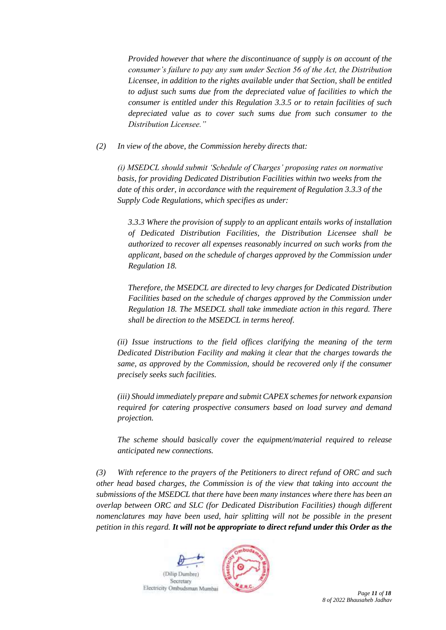*Provided however that where the discontinuance of supply is on account of the consumer's failure to pay any sum under Section 56 of the Act, the Distribution Licensee, in addition to the rights available under that Section, shall be entitled to adjust such sums due from the depreciated value of facilities to which the consumer is entitled under this Regulation 3.3.5 or to retain facilities of such depreciated value as to cover such sums due from such consumer to the Distribution Licensee."*

*(2) In view of the above, the Commission hereby directs that:*

*(i) MSEDCL should submit 'Schedule of Charges' proposing rates on normative basis, for providing Dedicated Distribution Facilities within two weeks from the date of this order, in accordance with the requirement of Regulation 3.3.3 of the Supply Code Regulations, which specifies as under:*

*3.3.3 Where the provision of supply to an applicant entails works of installation of Dedicated Distribution Facilities, the Distribution Licensee shall be authorized to recover all expenses reasonably incurred on such works from the applicant, based on the schedule of charges approved by the Commission under Regulation 18.*

*Therefore, the MSEDCL are directed to levy charges for Dedicated Distribution Facilities based on the schedule of charges approved by the Commission under Regulation 18. The MSEDCL shall take immediate action in this regard. There shall be direction to the MSEDCL in terms hereof.*

*(ii) Issue instructions to the field offices clarifying the meaning of the term Dedicated Distribution Facility and making it clear that the charges towards the same, as approved by the Commission, should be recovered only if the consumer precisely seeks such facilities.*

*(iii) Should immediately prepare and submit CAPEX schemes for network expansion required for catering prospective consumers based on load survey and demand projection.*

*The scheme should basically cover the equipment/material required to release anticipated new connections.*

*(3) With reference to the prayers of the Petitioners to direct refund of ORC and such other head based charges, the Commission is of the view that taking into account the submissions of the MSEDCL that there have been many instances where there has been an overlap between ORC and SLC (for Dedicated Distribution Facilities) though different nomenclatures may have been used, hair splitting will not be possible in the present petition in this regard. It will not be appropriate to direct refund under this Order as the* 

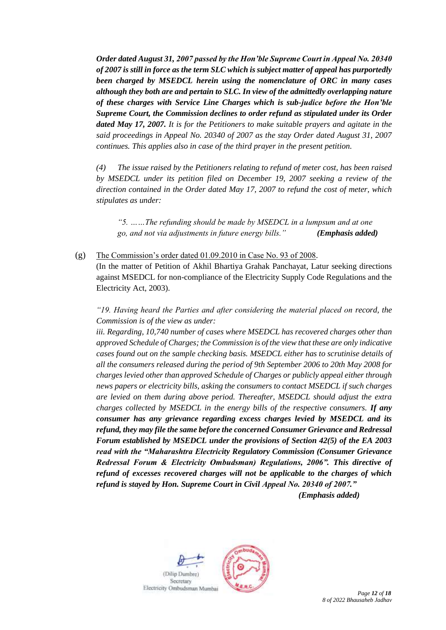*Order dated August 31, 2007 passed by the Hon'ble Supreme Court in Appeal No. 20340 of 2007 is still in force as the term SLC which is subject matter of appeal has purportedly been charged by MSEDCL herein using the nomenclature of ORC in many cases although they both are and pertain to SLC. In view of the admittedly overlapping nature of these charges with Service Line Charges which is sub-judice before the Hon'ble Supreme Court, the Commission declines to order refund as stipulated under its Order dated May 17, 2007. It is for the Petitioners to make suitable prayers and agitate in the said proceedings in Appeal No. 20340 of 2007 as the stay Order dated August 31, 2007 continues. This applies also in case of the third prayer in the present petition.* 

*(4) The issue raised by the Petitioners relating to refund of meter cost, has been raised by MSEDCL under its petition filed on December 19, 2007 seeking a review of the direction contained in the Order dated May 17, 2007 to refund the cost of meter, which stipulates as under:*

*"5. ……The refunding should be made by MSEDCL in a lumpsum and at one go, and not via adjustments in future energy bills." (Emphasis added)*

(g) The Commission's order dated 01.09.2010 in Case No. 93 of 2008. (In the matter of Petition of Akhil Bhartiya Grahak Panchayat, Latur seeking directions against MSEDCL for non-compliance of the Electricity Supply Code Regulations and the Electricity Act, 2003).

*"19. Having heard the Parties and after considering the material placed on record, the Commission is of the view as under:*

*iii. Regarding, 10,740 number of cases where MSEDCL has recovered charges other than approved Schedule of Charges; the Commission is of the view that these are only indicative cases found out on the sample checking basis. MSEDCL either has to scrutinise details of all the consumers released during the period of 9th September 2006 to 20th May 2008 for charges levied other than approved Schedule of Charges or publicly appeal either through news papers or electricity bills, asking the consumers to contact MSEDCL if such charges are levied on them during above period. Thereafter, MSEDCL should adjust the extra charges collected by MSEDCL in the energy bills of the respective consumers. If any consumer has any grievance regarding excess charges levied by MSEDCL and its refund, they may file the same before the concerned Consumer Grievance and Redressal Forum established by MSEDCL under the provisions of Section 42(5) of the EA 2003 read with the "Maharashtra Electricity Regulatory Commission (Consumer Grievance Redressal Forum & Electricity Ombudsman) Regulations, 2006". This directive of refund of excesses recovered charges will not be applicable to the charges of which refund is stayed by Hon. Supreme Court in Civil Appeal No. 20340 of 2007." (Emphasis added)* 

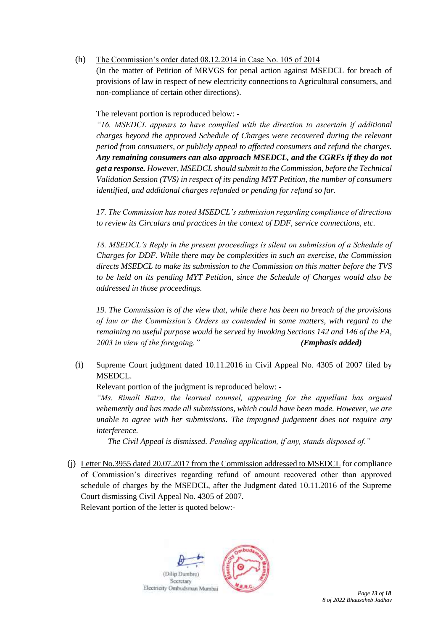# (h) The Commission's order dated 08.12.2014 in Case No. 105 of 2014

(In the matter of Petition of MRVGS for penal action against MSEDCL for breach of provisions of law in respect of new electricity connections to Agricultural consumers, and non-compliance of certain other directions).

The relevant portion is reproduced below: -

*"16. MSEDCL appears to have complied with the direction to ascertain if additional charges beyond the approved Schedule of Charges were recovered during the relevant period from consumers, or publicly appeal to affected consumers and refund the charges. Any remaining consumers can also approach MSEDCL, and the CGRFs if they do not get a response. However, MSEDCL should submit to the Commission, before the Technical Validation Session (TVS) in respect of its pending MYT Petition, the number of consumers identified, and additional charges refunded or pending for refund so far.* 

*17. The Commission has noted MSEDCL's submission regarding compliance of directions to review its Circulars and practices in the context of DDF, service connections, etc.* 

*18. MSEDCL's Reply in the present proceedings is silent on submission of a Schedule of Charges for DDF. While there may be complexities in such an exercise, the Commission directs MSEDCL to make its submission to the Commission on this matter before the TVS to be held on its pending MYT Petition, since the Schedule of Charges would also be addressed in those proceedings.* 

*19. The Commission is of the view that, while there has been no breach of the provisions of law or the Commission's Orders as contended in some matters, with regard to the remaining no useful purpose would be served by invoking Sections 142 and 146 of the EA, 2003 in view of the foregoing." (Emphasis added)* 

(i) Supreme Court judgment dated 10.11.2016 in Civil Appeal No. 4305 of 2007 filed by MSEDCL.

Relevant portion of the judgment is reproduced below: -

*"Ms. Rimali Batra, the learned counsel, appearing for the appellant has argued vehemently and has made all submissions, which could have been made. However, we are unable to agree with her submissions. The impugned judgement does not require any interference.* 

*The Civil Appeal is dismissed. Pending application, if any, stands disposed of."* 

(j) Letter No.3955 dated 20.07.2017 from the Commission addressed to MSEDCL for compliance of Commission's directives regarding refund of amount recovered other than approved schedule of charges by the MSEDCL, after the Judgment dated 10.11.2016 of the Supreme Court dismissing Civil Appeal No. 4305 of 2007. Relevant portion of the letter is quoted below:-

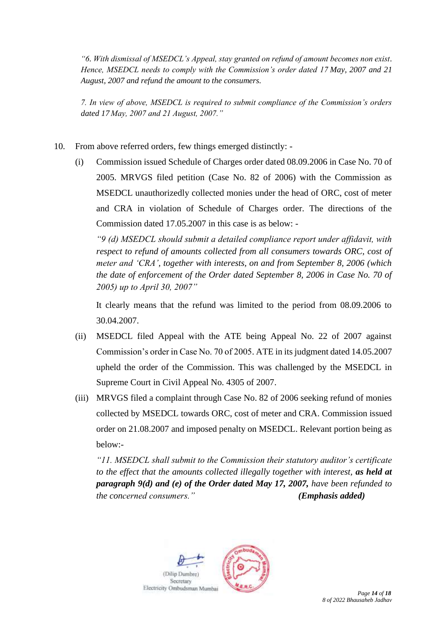*"6. With dismissal of MSEDCL's Appeal, stay granted on refund of amount becomes non exist. Hence, MSEDCL needs to comply with the Commission's order dated 17 May, 2007 and 21 August, 2007 and refund the amount to the consumers.*

*7. In view of above, MSEDCL is required to submit compliance of the Commission's orders dated 17 May, 2007 and 21 August, 2007."*

- 10. From above referred orders, few things emerged distinctly:
	- (i) Commission issued Schedule of Charges order dated 08.09.2006 in Case No. 70 of 2005. MRVGS filed petition (Case No. 82 of 2006) with the Commission as MSEDCL unauthorizedly collected monies under the head of ORC, cost of meter and CRA in violation of Schedule of Charges order. The directions of the Commission dated 17.05.2007 in this case is as below: -

*"9 (d) MSEDCL should submit a detailed compliance report under affidavit, with respect to refund of amounts collected from all consumers towards ORC, cost of meter and 'CRA', together with interests, on and from September 8, 2006 (which the date of enforcement of the Order dated September 8, 2006 in Case No. 70 of 2005) up to April 30, 2007"*

It clearly means that the refund was limited to the period from 08.09.2006 to 30.04.2007.

- (ii) MSEDCL filed Appeal with the ATE being Appeal No. 22 of 2007 against Commission's order in Case No. 70 of 2005. ATE in its judgment dated 14.05.2007 upheld the order of the Commission. This was challenged by the MSEDCL in Supreme Court in Civil Appeal No. 4305 of 2007.
- (iii) MRVGS filed a complaint through Case No. 82 of 2006 seeking refund of monies collected by MSEDCL towards ORC, cost of meter and CRA. Commission issued order on 21.08.2007 and imposed penalty on MSEDCL. Relevant portion being as below:-

*"11. MSEDCL shall submit to the Commission their statutory auditor's certificate to the effect that the amounts collected illegally together with interest, as held at paragraph 9(d) and (e) of the Order dated May 17, 2007, have been refunded to the concerned consumers." (Emphasis added)*

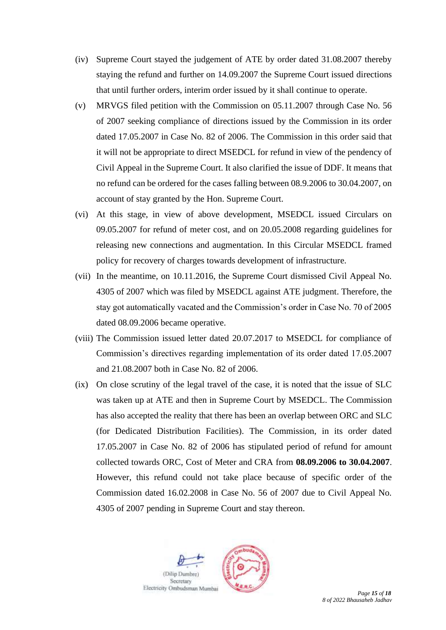- (iv) Supreme Court stayed the judgement of ATE by order dated 31.08.2007 thereby staying the refund and further on 14.09.2007 the Supreme Court issued directions that until further orders, interim order issued by it shall continue to operate.
- (v) MRVGS filed petition with the Commission on 05.11.2007 through Case No. 56 of 2007 seeking compliance of directions issued by the Commission in its order dated 17.05.2007 in Case No. 82 of 2006. The Commission in this order said that it will not be appropriate to direct MSEDCL for refund in view of the pendency of Civil Appeal in the Supreme Court. It also clarified the issue of DDF. It means that no refund can be ordered for the cases falling between 08.9.2006 to 30.04.2007, on account of stay granted by the Hon. Supreme Court.
- (vi) At this stage, in view of above development, MSEDCL issued Circulars on 09.05.2007 for refund of meter cost, and on 20.05.2008 regarding guidelines for releasing new connections and augmentation. In this Circular MSEDCL framed policy for recovery of charges towards development of infrastructure.
- (vii) In the meantime, on 10.11.2016, the Supreme Court dismissed Civil Appeal No. 4305 of 2007 which was filed by MSEDCL against ATE judgment. Therefore, the stay got automatically vacated and the Commission's order in Case No. 70 of 2005 dated 08.09.2006 became operative.
- (viii) The Commission issued letter dated 20.07.2017 to MSEDCL for compliance of Commission's directives regarding implementation of its order dated 17.05.2007 and 21.08.2007 both in Case No. 82 of 2006.
- (ix) On close scrutiny of the legal travel of the case, it is noted that the issue of SLC was taken up at ATE and then in Supreme Court by MSEDCL. The Commission has also accepted the reality that there has been an overlap between ORC and SLC (for Dedicated Distribution Facilities). The Commission, in its order dated 17.05.2007 in Case No. 82 of 2006 has stipulated period of refund for amount collected towards ORC, Cost of Meter and CRA from **08.09.2006 to 30.04.2007**. However, this refund could not take place because of specific order of the Commission dated 16.02.2008 in Case No. 56 of 2007 due to Civil Appeal No. 4305 of 2007 pending in Supreme Court and stay thereon.

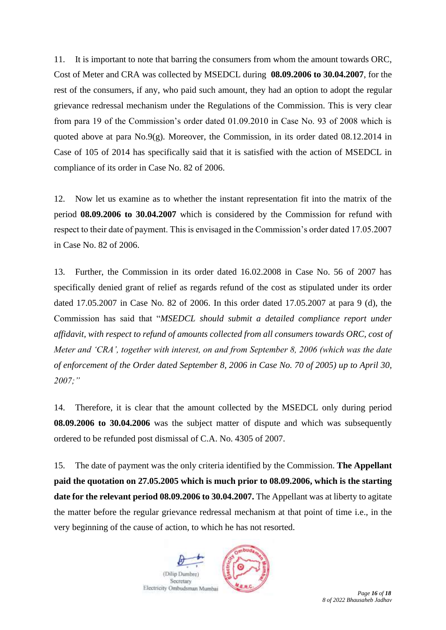11. It is important to note that barring the consumers from whom the amount towards ORC, Cost of Meter and CRA was collected by MSEDCL during **08.09.2006 to 30.04.2007**, for the rest of the consumers, if any, who paid such amount, they had an option to adopt the regular grievance redressal mechanism under the Regulations of the Commission. This is very clear from para 19 of the Commission's order dated 01.09.2010 in Case No. 93 of 2008 which is quoted above at para No.9(g). Moreover, the Commission, in its order dated 08.12.2014 in Case of 105 of 2014 has specifically said that it is satisfied with the action of MSEDCL in compliance of its order in Case No. 82 of 2006.

12. Now let us examine as to whether the instant representation fit into the matrix of the period **08.09.2006 to 30.04.2007** which is considered by the Commission for refund with respect to their date of payment. This is envisaged in the Commission's order dated 17.05.2007 in Case No. 82 of 2006.

13. Further, the Commission in its order dated 16.02.2008 in Case No. 56 of 2007 has specifically denied grant of relief as regards refund of the cost as stipulated under its order dated 17.05.2007 in Case No. 82 of 2006. In this order dated 17.05.2007 at para 9 (d), the Commission has said that "*MSEDCL should submit a detailed compliance report under affidavit, with respect to refund of amounts collected from all consumers towards ORC, cost of Meter and 'CRA', together with interest, on and from September 8, 2006 (which was the date of enforcement of the Order dated September 8, 2006 in Case No. 70 of 2005) up to April 30, 2007;"*

14. Therefore, it is clear that the amount collected by the MSEDCL only during period **08.09.2006 to 30.04.2006** was the subject matter of dispute and which was subsequently ordered to be refunded post dismissal of C.A. No. 4305 of 2007.

15. The date of payment was the only criteria identified by the Commission. **The Appellant paid the quotation on 27.05.2005 which is much prior to 08.09.2006, which is the starting date for the relevant period 08.09.2006 to 30.04.2007.** The Appellant was at liberty to agitate the matter before the regular grievance redressal mechanism at that point of time i.e., in the very beginning of the cause of action, to which he has not resorted.



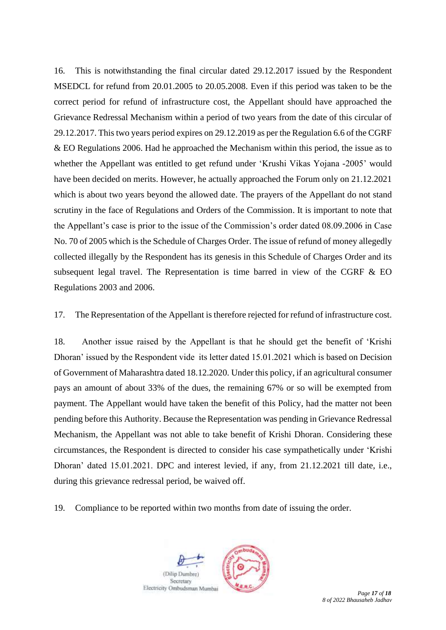16. This is notwithstanding the final circular dated 29.12.2017 issued by the Respondent MSEDCL for refund from 20.01.2005 to 20.05.2008. Even if this period was taken to be the correct period for refund of infrastructure cost, the Appellant should have approached the Grievance Redressal Mechanism within a period of two years from the date of this circular of 29.12.2017. This two years period expires on 29.12.2019 as per the Regulation 6.6 of the CGRF & EO Regulations 2006. Had he approached the Mechanism within this period, the issue as to whether the Appellant was entitled to get refund under 'Krushi Vikas Yojana -2005' would have been decided on merits. However, he actually approached the Forum only on 21.12.2021 which is about two years beyond the allowed date. The prayers of the Appellant do not stand scrutiny in the face of Regulations and Orders of the Commission. It is important to note that the Appellant's case is prior to the issue of the Commission's order dated 08.09.2006 in Case No. 70 of 2005 which is the Schedule of Charges Order. The issue of refund of money allegedly collected illegally by the Respondent has its genesis in this Schedule of Charges Order and its subsequent legal travel. The Representation is time barred in view of the CGRF & EO Regulations 2003 and 2006.

17. The Representation of the Appellant is therefore rejected for refund of infrastructure cost.

18. Another issue raised by the Appellant is that he should get the benefit of 'Krishi Dhoran' issued by the Respondent vide its letter dated 15.01.2021 which is based on Decision of Government of Maharashtra dated 18.12.2020. Under this policy, if an agricultural consumer pays an amount of about 33% of the dues, the remaining 67% or so will be exempted from payment. The Appellant would have taken the benefit of this Policy, had the matter not been pending before this Authority. Because the Representation was pending in Grievance Redressal Mechanism, the Appellant was not able to take benefit of Krishi Dhoran. Considering these circumstances, the Respondent is directed to consider his case sympathetically under 'Krishi Dhoran' dated 15.01.2021. DPC and interest levied, if any, from 21.12.2021 till date, i.e., during this grievance redressal period, be waived off.

19. Compliance to be reported within two months from date of issuing the order.





*Page 17 of 18 8 of 2022 Bhausaheb Jadhav*